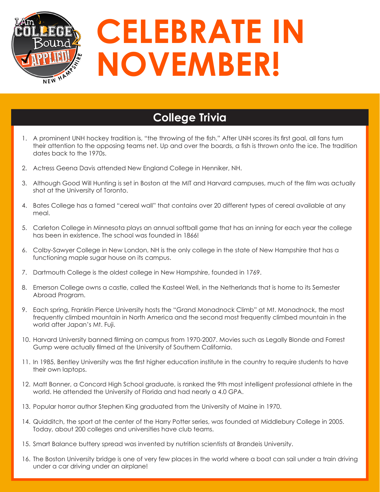

## **College Trivia**

- 1. A prominent UNH hockey tradition is, "the throwing of the fish." After UNH scores its first goal, all fans turn their attention to the opposing teams net. Up and over the boards, a fish is thrown onto the ice. The tradition dates back to the 1970s.
- 2. Actress Geena Davis attended New England College in Henniker, NH.
- 3. Although Good Will Hunting is set in Boston at the MIT and Harvard campuses, much of the film was actually shot at the University of Toronto.
- 4. Bates College has a famed "cereal wall" that contains over 20 different types of cereal available at any meal.
- 5. Carleton College in Minnesota plays an annual softball game that has an inning for each year the college has been in existence. The school was founded in 1866!
- 6. Colby-Sawyer College in New London, NH is the only college in the state of New Hampshire that has a functioning maple sugar house on its campus.
- 7. Dartmouth College is the oldest college in New Hampshire, founded in 1769.
- 8. Emerson College owns a castle, called the Kasteel Well, in the Netherlands that is home to its Semester Abroad Program.
- 9. Each spring, Franklin Pierce University hosts the "Grand Monadnock Climb" at Mt. Monadnock, the most frequently climbed mountain in North America and the second most frequently climbed mountain in the world after Japan's Mt. Fuji.
- 10. Harvard University banned filming on campus from 1970-2007. Movies such as Legally Blonde and Forrest Gump were actually filmed at the University of Southern California.
- 11. In 1985, Bentley University was the first higher education institute in the country to require students to have their own laptops.
- 12. Matt Bonner, a Concord High School graduate, is ranked the 9th most intelligent professional athlete in the world. He attended the University of Florida and had nearly a 4.0 GPA.
- 13. Popular horror author Stephen King graduated from the University of Maine in 1970.
- 14. Quidditch, the sport at the center of the Harry Potter series, was founded at Middlebury College in 2005. Today, about 200 colleges and universities have club teams.
- 15. Smart Balance buttery spread was invented by nutrition scientists at Brandeis University.
- 16. The Boston University bridge is one of very few places in the world where a boat can sail under a train driving under a car driving under an airplane!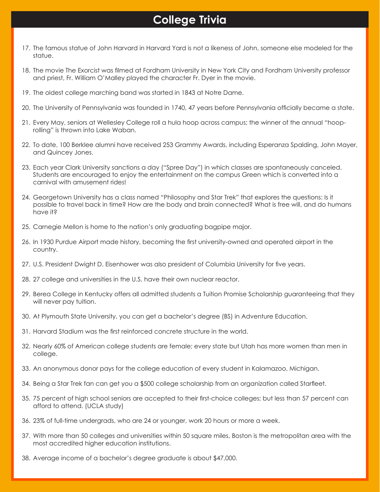## **College Trivia**

- 17. The famous statue of John Harvard in Harvard Yard is not a likeness of John, someone else modeled for the statue.
- 18. The movie The Exorcist was filmed at Fordham University in New York City and Fordham University professor and priest, Fr. William O'Malley played the character Fr. Dyer in the movie.
- 19. The oldest college marching band was started in 1843 at Notre Dame.
- 20. The University of Pennsylvania was founded in 1740, 47 years before Pennsylvania officially became a state.
- 21. Every May, seniors at Wellesley College roll a hula hoop across campus; the winner of the annual "hooprolling" is thrown into Lake Waban.
- 22. To date, 100 Berklee alumni have received 253 Grammy Awards, including Esperanza Spalding, John Mayer, and Quincey Jones.
- 23. Each year Clark University sanctions a day ("Spree Day") in which classes are spontaneously canceled. Students are encouraged to enjoy the entertainment on the campus Green which is converted into a carnival with amusement rides!
- 24. Georgetown University has a class named "Philosophy and Star Trek" that explores the questions: Is it possible to travel back in time? How are the body and brain connected? What is free will, and do humans have it?
- 25. Carnegie Mellon is home to the nation's only graduating bagpipe major.
- 26. In 1930 Purdue Airport made history, becoming the first university-owned and operated airport in the country.
- 27. U.S. President Dwight D. Eisenhower was also president of Columbia University for five years.
- 28. 27 college and universities in the U.S. have their own nuclear reactor.
- 29. Berea College in Kentucky offers all admitted students a Tuition Promise Scholarship guaranteeing that they will never pay tuition.
- 30. At Plymouth State University, you can get a bachelor's degree (BS) in Adventure Education.
- 31. Harvard Stadium was the first reinforced concrete structure in the world.
- 32. Nearly 60% of American college students are female; every state but Utah has more women than men in college.
- 33. An anonymous donor pays for the college education of every student in Kalamazoo, Michigan.
- 34. Being a Star Trek fan can get you a \$500 college scholarship from an organization called Starfleet.
- 35. 75 percent of high school seniors are accepted to their first-choice colleges; but less than 57 percent can afford to attend. (UCLA study)
- 36. 23% of full-time undergrads, who are 24 or younger, work 20 hours or more a week.
- 37. With more than 50 colleges and universities within 50 square miles, Boston is the metropolitan area with the most accredited higher education institutions.
- 38. Average income of a bachelor's degree graduate is about \$47,000.